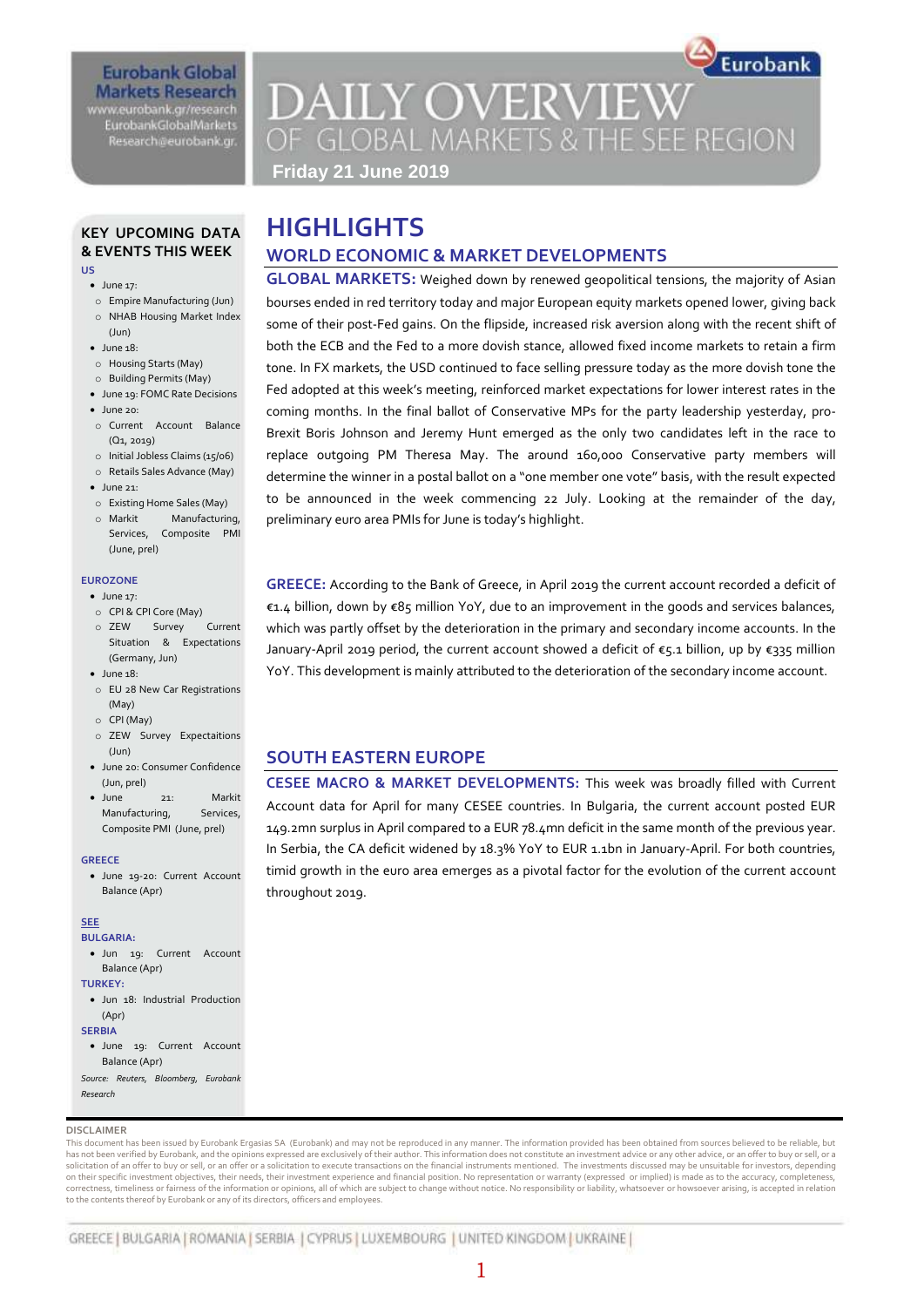## **Eurobank Global Markets Research** www.eurobank.gr/research

**EurobankGlobalMarkets** Research@eurobank.gr

# Eurobank **DAILY OVERVIEW** OF GLOBAL MARKETS & THE SEE REGION

**GLOBAL MARKETS:** Weighed down by renewed geopolitical tensions, the majority of Asian bourses ended in red territory today and major European equity markets opened lower, giving back some of their post-Fed gains. On the flipside, increased risk aversion along with the recent shift of both the ECB and the Fed to a more dovish stance, allowed fixed income markets to retain a firm tone. In FX markets, the USD continued to face selling pressure today as the more dovish tone the Fed adopted at this week's meeting, reinforced market expectations for lower interest rates in the coming months. In the final ballot of Conservative MPs for the party leadership yesterday, pro-Brexit Boris Johnson and Jeremy Hunt emerged as the only two candidates left in the race to replace outgoing PM Theresa May. The around 160,000 Conservative party members will determine the winner in a postal ballot on a "one member one vote" basis, with the result expected to be announced in the week commencing 22 July. Looking at the remainder of the day,

**GREECE:** According to the Bank of Greece, in April 2019 the current account recorded a deficit of €1.4 billion, down by €85 million YoY, due to an improvement in the goods and services balances, which was partly offset by the deterioration in the primary and secondary income accounts. In the January-April 2019 period, the current account showed a deficit of €5.1 billion, up by €335 million YoY. This development is mainly attributed to the deterioration of the secondary income account.

**CESEE MACRO & MARKET DEVELOPMENTS:** This week was broadly filled with Current Account data for April for many CESEE countries. In Bulgaria, the current account posted EUR 149.2mn surplus in April compared to a EUR 78.4mn deficit in the same month of the previous year. In Serbia, the CA deficit widened by 18.3% YoY to EUR 1.1bn in January-April. For both countries, timid growth in the euro area emerges as a pivotal factor for the evolution of the current account

**WORLD ECONOMIC & MARKET DEVELOPMENTS**

preliminary euro area PMIs for June is today's highlight.

**SOUTH EASTERN EUROPE**

throughout 2019.

**Friday 21 June 2019**

**HIGHLIGHTS**

## **KEY UPCOMING DATA & EVENTS THIS WEEK US**

- $\bullet$  lune 17:
- o Empire Manufacturing (Jun)
- o NHAB Housing Market Index
- (Jun)
- June 18:
- o Housing Starts (May)
- o Building Permits (May)
- June 19: FOMC Rate Decisions
- $\bullet$  June 20:
- o Current Account Balance (Q1, 2019)
- o Initial Jobless Claims (15/06)
- o Retails Sales Advance (May)  $\bullet$  June 21:
- o Existing Home Sales (May)
- o Markit Manufacturing, Services, Composite PMI (June, prel)

#### **EUROZONE**

- June 17:
- o CPI & CPI Core (May) o ZEW Survey Current Situation & Expectations
- (Germany, Jun)  $\bullet$  June 18:
- o EU 28 New Car Registrations (May)
- o CPI (May)
- o ZEW Survey Expectaitions (Jun)
- June 20: Consumer Confidence (Jun, prel)
- June 21: Markit Manufacturing, Services, Composite PMI (June, prel)
- **GREECE**
- June 19-20: Current Account Balance (Apr)

#### **SEE**

**BULGARIA:** 

- Jun 19: Current Account Balance (Apr)
- **TURKEY:**
- $\bullet$  Jun 18: Industrial Production (Apr)

**SERBIA**

- June 19: Current Account Balance (Apr)
- *Source: Reuters, Bloomberg, Eurobank Research*

#### **DISCLAIMER**

This document has been issued by Eurobank Ergasias SA (Eurobank) and may not be reproduced in any manner. The information provided has been obtained from sources believed to be reliable, but has not been verified by Eurobank, and the opinions expressed are exclusively of their author. This information does not constitute an investment advice or any other advice, or an offer to buy or sell, or a solicitation of an offer to buy or sell, or an offer or a solicitation to execute transactions on the financial instruments mentioned. The investments discussed may be unsuitable for investors, depending on their specific investment objectives, their needs, their investment experience and financial position. No representation or warranty (expressed or implied) is made as to the accuracy, completeness, correctness, timeliness or fairness of the information or opinions, all of which are subject to change without notice. No responsibility or liability, whatsoever or howsoever arising, is accepted in relation to the contents thereof by Eurobank or any of its directors, officers and employees.

GREECE | BULGARIA | ROMANIA | SERBIA | CYPRUS | LUXEMBOURG | UNITED KINGDOM | UKRAINE |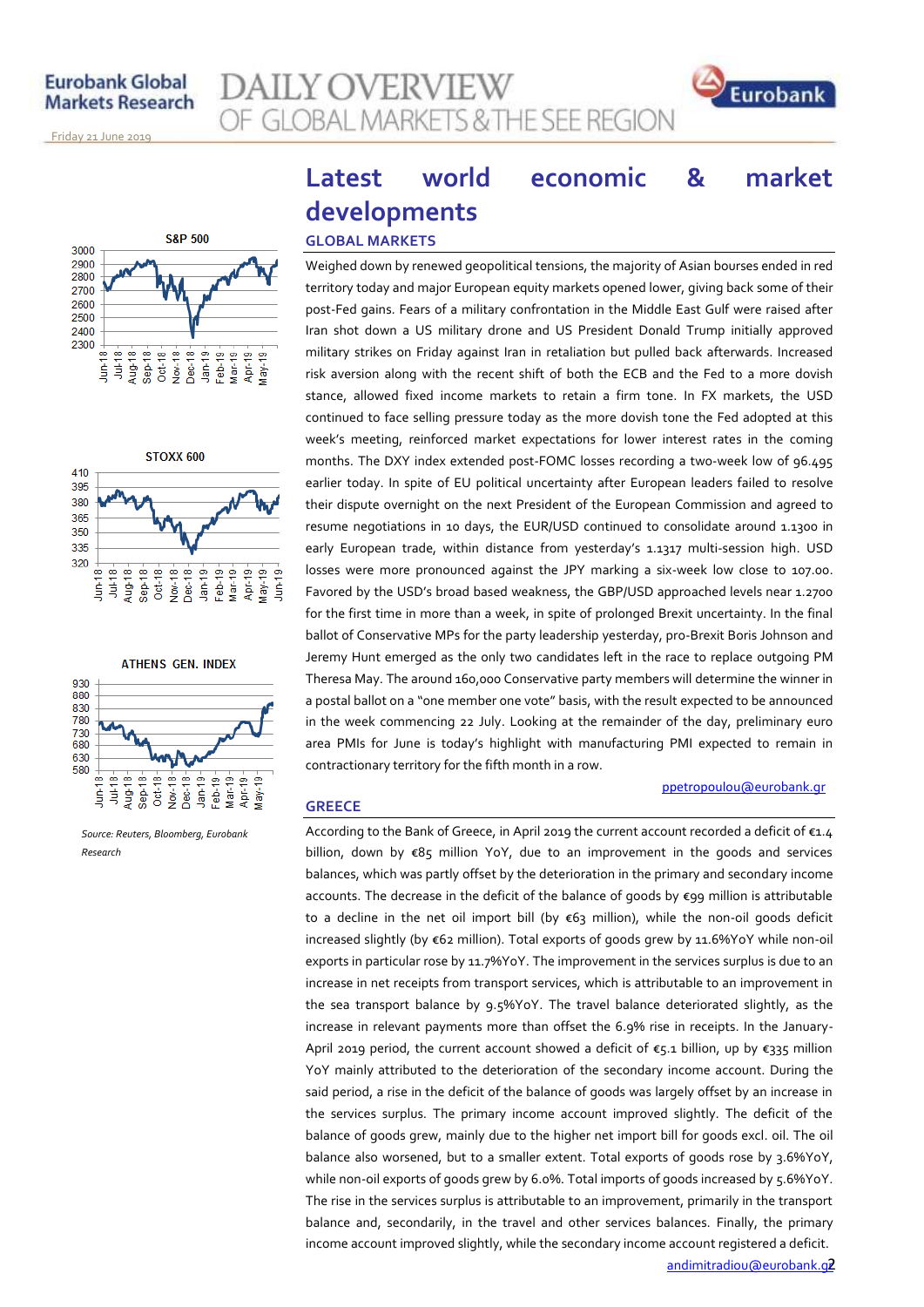**AILY OVERVIEW** OF GLOBAL MARKETS & THE SEE REGION



November 14, 2013 Friday 21 June 2019







*Source: Reuters, Bloomberg, Eurobank Research*

# **Latest world economic & market developments**

## **GLOBAL MARKETS**

**GREECE**

Weighed down by renewed geopolitical tensions, the majority of Asian bourses ended in red territory today and major European equity markets opened lower, giving back some of their post-Fed gains. Fears of a military confrontation in the Middle East Gulf were raised after Iran shot down a US military drone and US President Donald Trump initially approved military strikes on Friday against Iran in retaliation but pulled back afterwards. Increased risk aversion along with the recent shift of both the ECB and the Fed to a more dovish stance, allowed fixed income markets to retain a firm tone. In FX markets, the USD continued to face selling pressure today as the more dovish tone the Fed adopted at this week's meeting, reinforced market expectations for lower interest rates in the coming months. The DXY index extended post-FOMC losses recording a two-week low of 96.495 earlier today. In spite of EU political uncertainty after European leaders failed to resolve their dispute overnight on the next President of the European Commission and agreed to resume negotiations in 10 days, the EUR/USD continued to consolidate around 1.1300 in early European trade, within distance from yesterday's 1.1317 multi-session high. USD losses were more pronounced against the JPY marking a six-week low close to 107.00. Favored by the USD's broad based weakness, the GBP/USD approached levels near 1.2700 for the first time in more than a week, in spite of prolonged Brexit uncertainty. In the final ballot of Conservative MPs for the party leadership yesterday, pro-Brexit Boris Johnson and Jeremy Hunt emerged as the only two candidates left in the race to replace outgoing PM Theresa May. The around 160,000 Conservative party members will determine the winner in a postal ballot on a "one member one vote" basis, with the result expected to be announced in the week commencing 22 July. Looking at the remainder of the day, preliminary euro area PMIs for June is today's highlight with manufacturing PMI expected to remain in contractionary territory for the fifth month in a row.

## ppetropoulou[@eurobank.gr](mailto:ppetropoulou@eurobank.gr)

According to the Bank of Greece, in April 2019 the current account recorded a deficit of €1.4 billion, down by €85 million YoY, due to an improvement in the goods and services balances, which was partly offset by the deterioration in the primary and secondary income accounts. The decrease in the deficit of the balance of goods by €99 million is attributable to a decline in the net oil import bill (by €63 million), while the non-oil goods deficit increased slightly (by €62 million). Total exports of goods grew by 11.6%YoY while non-oil exports in particular rose by 11.7%YoY. The improvement in the services surplus is due to an increase in net receipts from transport services, which is attributable to an improvement in the sea transport balance by 9.5%YoY. The travel balance deteriorated slightly, as the increase in relevant payments more than offset the 6.9% rise in receipts. In the January-April 2019 period, the current account showed a deficit of  $\epsilon$ 5.1 billion, up by  $\epsilon$ 335 million YoY mainly attributed to the deterioration of the secondary income account. During the said period, a rise in the deficit of the balance of goods was largely offset by an increase in the services surplus. The primary income account improved slightly. The deficit of the balance of goods grew, mainly due to the higher net import bill for goods excl. oil. The oil balance also worsened, but to a smaller extent. Total exports of goods rose by 3.6%YoY, while non-oil exports of goods grew by 6.0%. Total imports of goods increased by 5.6%YoY. The rise in the services surplus is attributable to an improvement, primarily in the transport balance and, secondarily, in the travel and other services balances. Finally, the primary income account improved slightly, while the secondary income account registered a deficit.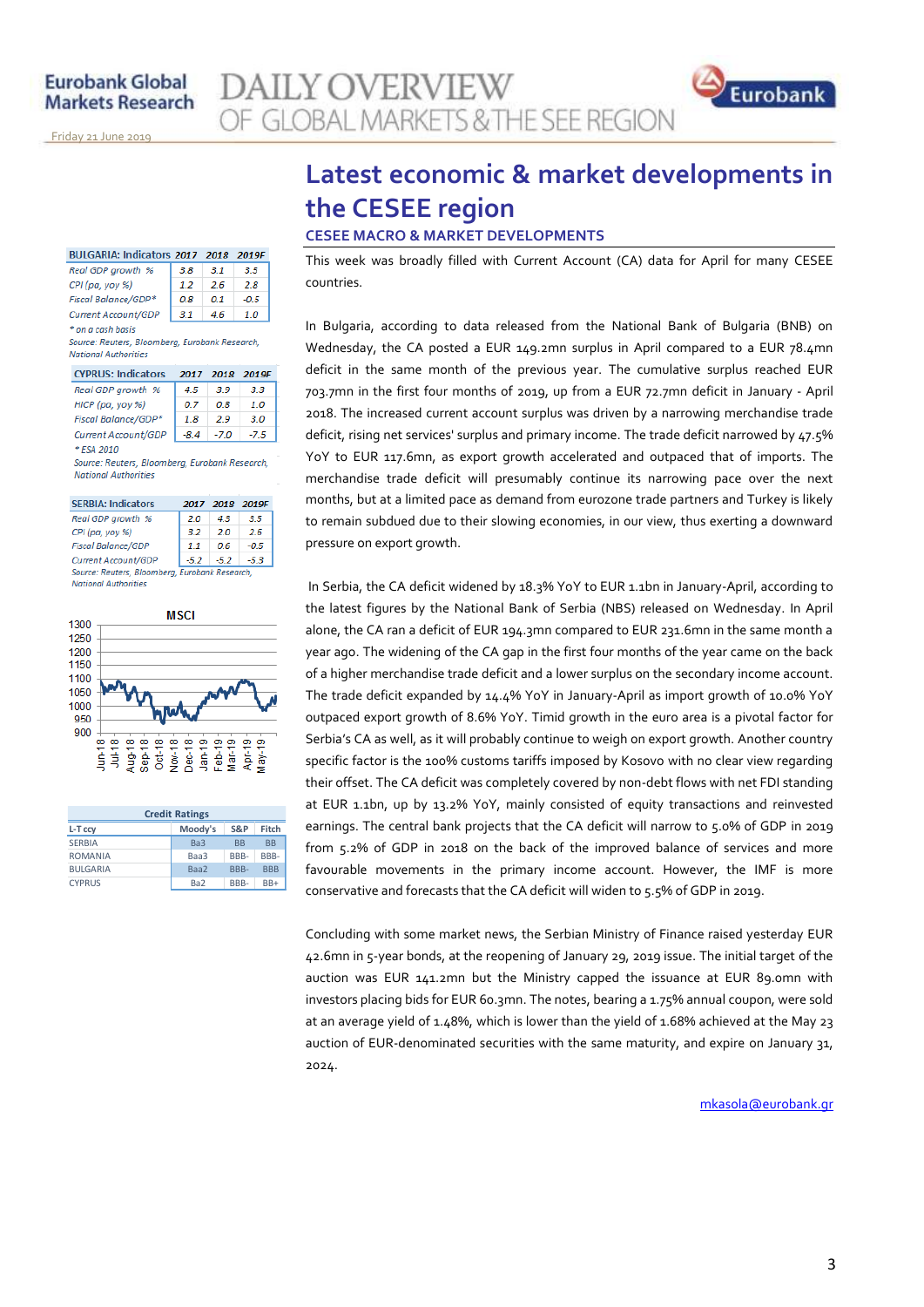

November 14, 2013 Friday 21 June 2019

| BULGARIA: Indicators 2017 2018 2019F |     |     |        |  |
|--------------------------------------|-----|-----|--------|--|
| Real GDP growth %                    | 3.8 | 3.1 | 3.5    |  |
| CPI (pa, yoy %)                      | 12  | 2.6 | 2.8    |  |
| Fiscal Balance/GDP*                  | nя  | 0.1 | $-0.5$ |  |

Current Account/GDP  $\begin{array}{|c|c|c|c|c|}\n\hline\n3.1 & 4.6 & 1.0\n\end{array}$ \* on a cash basis Source: Reuters, Bloomberg, Eurobank Research, **National Authorities** 

| <b>CYPRUS: Indicators</b> | 2017   | - 2018 | 2019F |
|---------------------------|--------|--------|-------|
| Real GDP growth %         | 45     | 3.9    | 3.3   |
| HICP (pa, yoy %)          | 0.7    | OЯ     | 1.0   |
| Fiscal Balance/GDP*       | 1.8    | 29     | 30    |
| Current Account/GDP       | $-8.4$ | -7.0   | -7.5  |
| <b>ESA 2010</b>           |        |        |       |

Source: Reuters, Bloomberg, Eurobank Research, **National Authorities** 

| <b>SERBIA: Indicators</b>                      | 2017 |      | 2018 2019F |
|------------------------------------------------|------|------|------------|
| Real GDP growth %                              | 2.0  | 43   | 3.5        |
| CPI (pa, yoy %)                                | 3.2  | 20   | 26         |
| <b>Fiscal Balance/GDP</b>                      | 1.1  | 06   | $-0.5$     |
| Current Account/GDP                            | -5.2 | -5.2 | -5.3       |
| Source: Reuters, Bloomberg, Eurobank Research, |      |      |            |

National Authoritie.



| <b>Credit Ratings</b> |                 |           |            |  |  |
|-----------------------|-----------------|-----------|------------|--|--|
| L-T ccy               | Moody's         | S&P       | Fitch      |  |  |
| <b>SERBIA</b>         | Ba3             | <b>BB</b> | <b>BB</b>  |  |  |
| <b>ROMANIA</b>        | Baa3            | BBB-      | BBB-       |  |  |
| <b>BULGARIA</b>       | Baa2            | RRR-      | <b>BBB</b> |  |  |
| <b>CYPRUS</b>         | Ba <sub>2</sub> | BBB-      | $BB+$      |  |  |

## **Latest economic & market developments in the CESEE region CESEE MACRO & MARKET DEVELOPMENTS**

This week was broadly filled with Current Account (CA) data for April for many CESEE countries.

In Bulgaria, according to data released from the National Bank of Bulgaria (BNB) on Wednesday, the CA posted a EUR 149.2mn surplus in April compared to a EUR 78.4mn deficit in the same month of the previous year. The cumulative surplus reached EUR 703.7mn in the first four months of 2019, up from a EUR 72.7mn deficit in January - April 2018. The increased current account surplus was driven by a narrowing merchandise trade deficit, rising net services' surplus and primary income. The trade deficit narrowed by 47.5% YoY to EUR 117.6mn, as export growth accelerated and outpaced that of imports. The merchandise trade deficit will presumably continue its narrowing pace over the next months, but at a limited pace as demand from eurozone trade partners and Turkey is likely to remain subdued due to their slowing economies, in our view, thus exerting a downward pressure on export growth.

In Serbia, the CA deficit widened by 18.3% YoY to EUR 1.1bn in January-April, according to the latest figures by the National Bank of Serbia (NBS) released on Wednesday. In April alone, the CA ran a deficit of EUR 194.3mn compared to EUR 231.6mn in the same month a year ago. The widening of the CA gap in the first four months of the year came on the back of a higher merchandise trade deficit and a lower surplus on the secondary income account. The trade deficit expanded by 14.4% YoY in January-April as import growth of 10.0% YoY outpaced export growth of 8.6% YoY. Timid growth in the euro area is a pivotal factor for Serbia's CA as well, as it will probably continue to weigh on export growth. Another country specific factor is the 100% customs tariffs imposed by Kosovo with no clear view regarding their offset. The CA deficit was completely covered by non-debt flows with net FDI standing at EUR 1.1bn, up by 13.2% YoY, mainly consisted of equity transactions and reinvested earnings. The central bank projects that the CA deficit will narrow to 5.0% of GDP in 2019 from 5.2% of GDP in 2018 on the back of the improved balance of services and more favourable movements in the primary income account. However, the IMF is more conservative and forecasts that the CA deficit will widen to 5.5% of GDP in 2019.

Concluding with some market news, the Serbian Ministry of Finance raised yesterday EUR 42.6mn in 5-year bonds, at the reopening of January 29, 2019 issue. The initial target of the auction was EUR 141.2mn but the Ministry capped the issuance at EUR 89.0mn with investors placing bids for EUR 60.3mn. The notes, bearing a 1.75% annual coupon, were sold at an average yield of 1.48%, which is lower than the yield of 1.68% achieved at the May 23 auction of EUR-denominated securities with the same maturity, and expire on January 31, 2024.

mkasol[a@eurobank.gr](mailto:mkasola@eurobank.gr)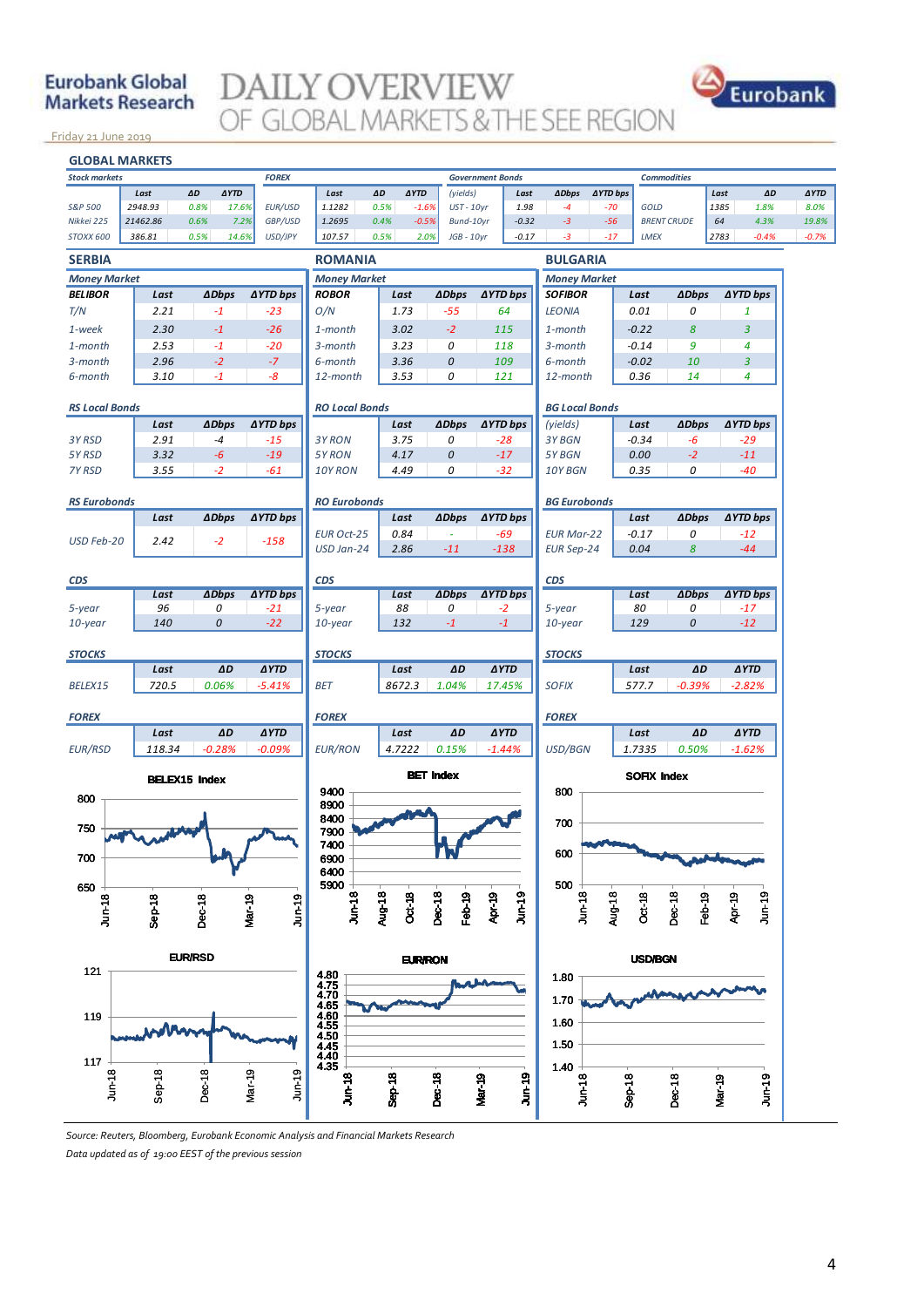## **Eurobank Global Markets Research**

# **DAILY OVERVIEW** OF GLOBAL MARKETS & THE SEE REGION



November 14, 2013 Friday 21 June 2019



*Source: Reuters, Bloomberg, Eurobank Economic Analysis and Financial Markets Research Data updated as of 19:00 EEST of the previous session*